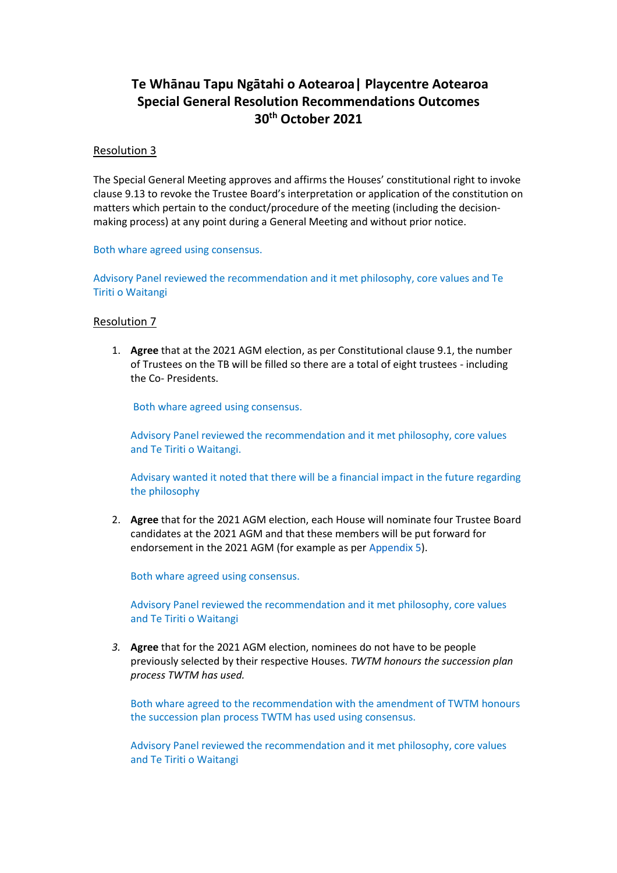# **Te Whānau Tapu Ngātahi o Aotearoa| Playcentre Aotearoa Special General Resolution Recommendations Outcomes 30th October 2021**

## Resolution 3

The Special General Meeting approves and affirms the Houses' constitutional right to invoke clause 9.13 to revoke the Trustee Board's interpretation or application of the constitution on matters which pertain to the conduct/procedure of the meeting (including the decisionmaking process) at any point during a General Meeting and without prior notice.

Both whare agreed using consensus.

Advisory Panel reviewed the recommendation and it met philosophy, core values and Te Tiriti o Waitangi

## Resolution 7

1. **Agree** that at the 2021 AGM election, as per Constitutional clause 9.1, the number of Trustees on the TB will be filled so there are a total of eight trustees - including the Co- Presidents.

Both whare agreed using consensus.

Advisory Panel reviewed the recommendation and it met philosophy, core values and Te Tiriti o Waitangi.

Advisary wanted it noted that there will be a financial impact in the future regarding the philosophy

2. **Agree** that for the 2021 AGM election, each House will nominate four Trustee Board candidates at the 2021 AGM and that these members will be put forward for endorsement in the 2021 AGM (for example as per Appendix 5).

Both whare agreed using consensus.

Advisory Panel reviewed the recommendation and it met philosophy, core values and Te Tiriti o Waitangi

*3.* **Agree** that for the 2021 AGM election, nominees do not have to be people previously selected by their respective Houses. *TWTM honours the succession plan process TWTM has used.*

Both whare agreed to the recommendation with the amendment of TWTM honours the succession plan process TWTM has used using consensus.

Advisory Panel reviewed the recommendation and it met philosophy, core values and Te Tiriti o Waitangi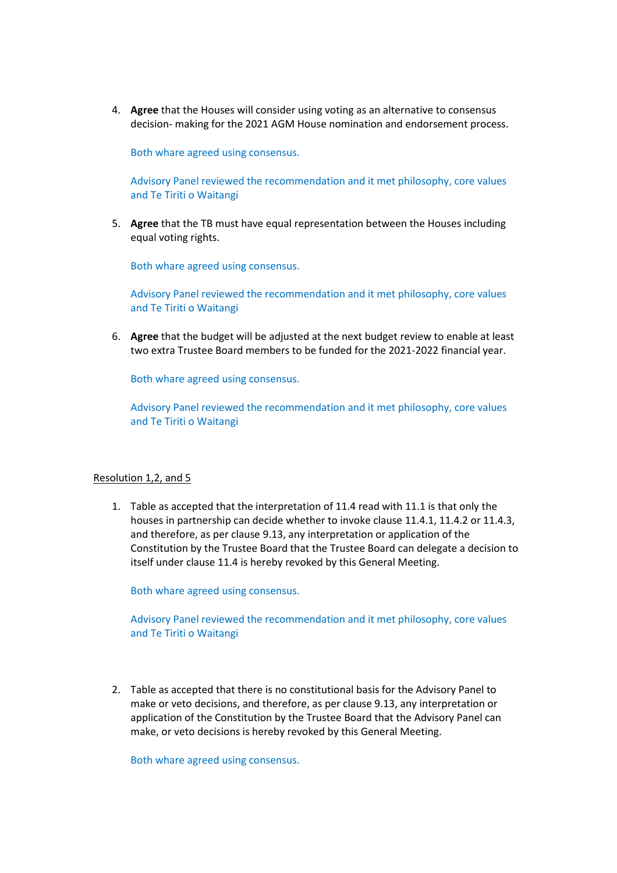4. **Agree** that the Houses will consider using voting as an alternative to consensus decision- making for the 2021 AGM House nomination and endorsement process.

Both whare agreed using consensus.

Advisory Panel reviewed the recommendation and it met philosophy, core values and Te Tiriti o Waitangi

5. **Agree** that the TB must have equal representation between the Houses including equal voting rights.

Both whare agreed using consensus.

Advisory Panel reviewed the recommendation and it met philosophy, core values and Te Tiriti o Waitangi

6. **Agree** that the budget will be adjusted at the next budget review to enable at least two extra Trustee Board members to be funded for the 2021-2022 financial year.

Both whare agreed using consensus.

Advisory Panel reviewed the recommendation and it met philosophy, core values and Te Tiriti o Waitangi

#### Resolution 1,2, and 5

1. Table as accepted that the interpretation of 11.4 read with 11.1 is that only the houses in partnership can decide whether to invoke clause 11.4.1, 11.4.2 or 11.4.3, and therefore, as per clause 9.13, any interpretation or application of the Constitution by the Trustee Board that the Trustee Board can delegate a decision to itself under clause 11.4 is hereby revoked by this General Meeting.

Both whare agreed using consensus.

Advisory Panel reviewed the recommendation and it met philosophy, core values and Te Tiriti o Waitangi

2. Table as accepted that there is no constitutional basis for the Advisory Panel to make or veto decisions, and therefore, as per clause 9.13, any interpretation or application of the Constitution by the Trustee Board that the Advisory Panel can make, or veto decisions is hereby revoked by this General Meeting.

Both whare agreed using consensus.